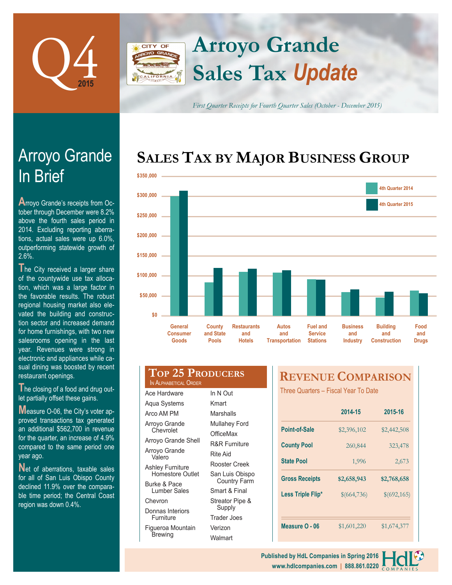

# **Sales Tax** *Update* **Arroyo Grande**

**CITY OF** 

*First Quarter Receipts for Fourth Quarter Sales (October - December 2015)*

# **SALES TAX BY MAJOR BUSINESS GROUP**



# In Brief Arroyo Grande

**A**rroyo Grande's receipts from October through December were 8.2% above the fourth sales period in 2014. Excluding reporting aberrations, actual sales were up 6.0%, outperforming statewide growth of 2.6%.

The City received a larger share of the countywide use tax allocation, which was a large factor in the favorable results. The robust regional housing market also elevated the building and construction sector and increased demand for home furnishings, with two new salesrooms opening in the last year. Revenues were strong in electronic and appliances while casual dining was boosted by recent restaurant openings.

**T**he closing of a food and drug outlet partially offset these gains.

**M**easure O-06, the City's voter approved transactions tax generated an additional \$562,700 in revenue for the quarter, an increase of 4.9% compared to the same period one year ago.

**Net of aberrations, taxable sales** for all of San Luis Obispo County declined 11.9% over the comparable time period; the Central Coast region was down 0.4%.

#### **Top 25 Producers** IN ALPHABETICAL ORDER

Ace Hardware Aqua Systems Arco AM PM Arroyo Grande **Chevrolet** Arroyo Grande Shell Arroyo Grande Valero Ashley Furniture Homestore Outlet Burke & Pace Lumber Sales Chevron Donnas Interiors Furniture Figueroa Mountain Brewing In N Out Kmart **Marshalls** Mullahey Ford **OfficeMax** R&R Furniture Rite Aid Rooster Creek San Luis Obispo Country Farm Smart & Final Streator Pipe & Supply Trader Joes Verizon **Walmart** 

# **REVENUE COMPARISON**

Three Quarters – Fiscal Year To Date

|                       | 2014-15     | 2015-16     |
|-----------------------|-------------|-------------|
| Point-of-Sale         | \$2,396,102 | \$2,442,508 |
| <b>County Pool</b>    | 260,844     | 323,478     |
| <b>State Pool</b>     | 1,996       | 2,673       |
| <b>Gross Receipts</b> | \$2,658,943 | \$2,768,658 |
| Less Triple Flip*     | \$(664,736) | \$(692,165) |
|                       |             |             |
|                       |             |             |